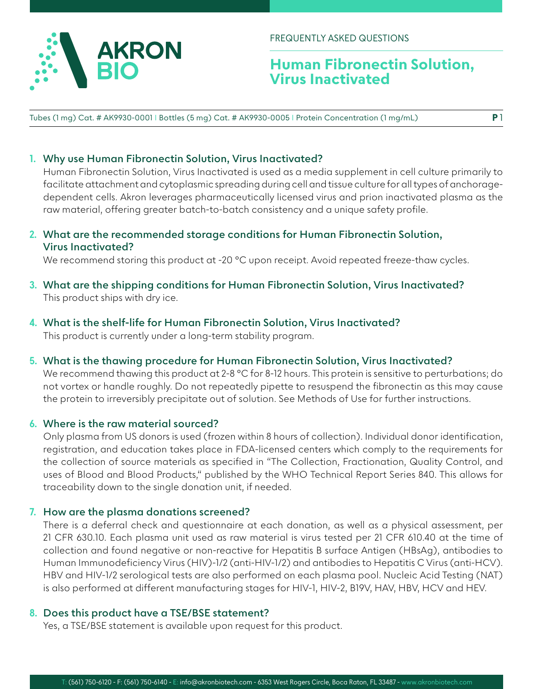

FREQUENTLY ASKED QUESTIONS

## **Human Fibronectin Solution, Virus Inactivated**

**P** 1

Tubes (1 mg) Cat. # AK9930-0001 I Bottles (5 mg) Cat. # AK9930-0005 I Protein Concentration (1 mg/mL)

#### **1. Why use Human Fibronectin Solution, Virus Inactivated?**

Human Fibronectin Solution, Virus Inactivated is used as a media supplement in cell culture primarily to facilitate attachment and cytoplasmic spreading during cell and tissue culture for all types of anchoragedependent cells. Akron leverages pharmaceutically licensed virus and prion inactivated plasma as the raw material, offering greater batch-to-batch consistency and a unique safety profile.

## **2. What are the recommended storage conditions for Human Fibronectin Solution, Virus Inactivated?**

We recommend storing this product at -20 °C upon receipt. Avoid repeated freeze-thaw cycles.

- **3. What are the shipping conditions for Human Fibronectin Solution, Virus Inactivated?** This product ships with dry ice.
- **4. What is the shelf-life for Human Fibronectin Solution, Virus Inactivated?** This product is currently under a long-term stability program.
- **5. What is the thawing procedure for Human Fibronectin Solution, Virus Inactivated?**

We recommend thawing this product at 2-8 °C for 8-12 hours. This protein is sensitive to perturbations; do not vortex or handle roughly. Do not repeatedly pipette to resuspend the fibronectin as this may cause the protein to irreversibly precipitate out of solution. See Methods of Use for further instructions.

#### **6. Where is the raw material sourced?**

Only plasma from US donors is used (frozen within 8 hours of collection). Individual donor identification, registration, and education takes place in FDA-licensed centers which comply to the requirements for the collection of source materials as specified in "The Collection, Fractionation, Quality Control, and uses of Blood and Blood Products," published by the WHO Technical Report Series 840. This allows for traceability down to the single donation unit, if needed.

#### **7. How are the plasma donations screened?**

There is a deferral check and questionnaire at each donation, as well as a physical assessment, per 21 CFR 630.10. Each plasma unit used as raw material is virus tested per 21 CFR 610.40 at the time of collection and found negative or non-reactive for Hepatitis B surface Antigen (HBsAg), antibodies to Human Immunodeficiency Virus (HIV)-1/2 (anti-HIV-1/2) and antibodies to Hepatitis C Virus (anti-HCV). HBV and HIV-1/2 serological tests are also performed on each plasma pool. Nucleic Acid Testing (NAT) is also performed at different manufacturing stages for HIV-1, HIV-2, B19V, HAV, HBV, HCV and HEV.

#### **8. Does this product have a TSE/BSE statement?**

Yes, a TSE/BSE statement is available upon request for this product.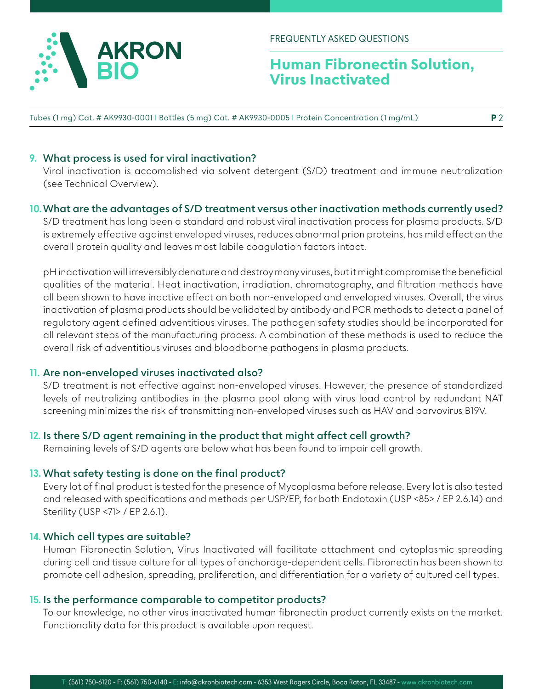

FREQUENTLY ASKED QUESTIONS

# **Human Fibronectin Solution, Virus Inactivated**

Tubes (1 mg) Cat. # AK9930-0001 I Bottles (5 mg) Cat. # AK9930-0005 I Protein Concentration (1 mg/mL)

## **9. What process is used for viral inactivation?**

Viral inactivation is accomplished via solvent detergent (S/D) treatment and immune neutralization (see Technical Overview).

## **10.What are the advantages of S/D treatment versus other inactivation methods currently used?**

S/D treatment has long been a standard and robust viral inactivation process for plasma products. S/D is extremely effective against enveloped viruses, reduces abnormal prion proteins, has mild effect on the overall protein quality and leaves most labile coagulation factors intact.

pH inactivation will irreversibly denature and destroy many viruses, but it might compromise the beneficial qualities of the material. Heat inactivation, irradiation, chromatography, and filtration methods have all been shown to have inactive effect on both non-enveloped and enveloped viruses. Overall, the virus inactivation of plasma products should be validated by antibody and PCR methods to detect a panel of regulatory agent defined adventitious viruses. The pathogen safety studies should be incorporated for all relevant steps of the manufacturing process. A combination of these methods is used to reduce the overall risk of adventitious viruses and bloodborne pathogens in plasma products.

## **11. Are non-enveloped viruses inactivated also?**

S/D treatment is not effective against non-enveloped viruses. However, the presence of standardized levels of neutralizing antibodies in the plasma pool along with virus load control by redundant NAT screening minimizes the risk of transmitting non-enveloped viruses such as HAV and parvovirus B19V.

## **12. Is there S/D agent remaining in the product that might affect cell growth?**

Remaining levels of S/D agents are below what has been found to impair cell growth.

## **13. What safety testing is done on the final product?**

Every lot of final product is tested for the presence of Mycoplasma before release. Every lot is also tested and released with specifications and methods per USP/EP, for both Endotoxin (USP <85> / EP 2.6.14) and Sterility (USP <71> / EP 2.6.1).

## **14. Which cell types are suitable?**

Human Fibronectin Solution, Virus Inactivated will facilitate attachment and cytoplasmic spreading during cell and tissue culture for all types of anchorage-dependent cells. Fibronectin has been shown to promote cell adhesion, spreading, proliferation, and differentiation for a variety of cultured cell types.

## **15. Is the performance comparable to competitor products?**

To our knowledge, no other virus inactivated human fibronectin product currently exists on the market. Functionality data for this product is available upon request.

**P** 2